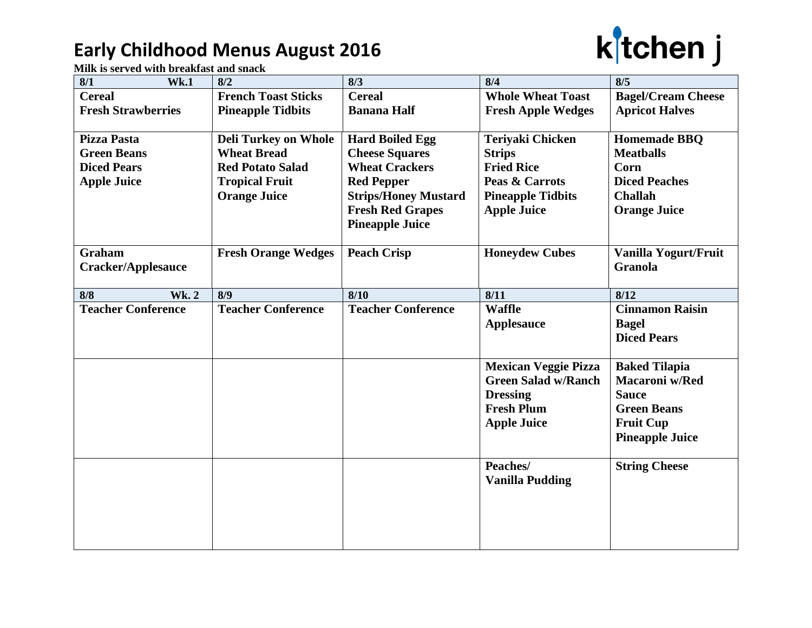## **Early Childhood Menus August 2016**



**Milk is served with breakfast and snack**

| <b>French Toast Sticks</b><br><b>Pineapple Tidbits</b><br><b>Deli Turkey on Whole</b><br><b>Wheat Bread</b><br><b>Red Potato Salad</b> | <b>Cereal</b><br><b>Banana Half</b><br><b>Hard Boiled Egg</b><br><b>Cheese Squares</b> | <b>Whole Wheat Toast</b><br><b>Fresh Apple Wedges</b><br><b>Teriyaki Chicken</b> | <b>Bagel/Cream Cheese</b><br><b>Apricot Halves</b><br><b>Homemade BBQ</b> |
|----------------------------------------------------------------------------------------------------------------------------------------|----------------------------------------------------------------------------------------|----------------------------------------------------------------------------------|---------------------------------------------------------------------------|
|                                                                                                                                        |                                                                                        |                                                                                  |                                                                           |
|                                                                                                                                        |                                                                                        |                                                                                  |                                                                           |
|                                                                                                                                        |                                                                                        |                                                                                  |                                                                           |
|                                                                                                                                        |                                                                                        |                                                                                  |                                                                           |
|                                                                                                                                        |                                                                                        | <b>Strips</b>                                                                    | <b>Meatballs</b>                                                          |
|                                                                                                                                        | <b>Wheat Crackers</b>                                                                  | <b>Fried Rice</b>                                                                | Corn                                                                      |
| <b>Tropical Fruit</b>                                                                                                                  | <b>Red Pepper</b>                                                                      | Peas & Carrots                                                                   | <b>Diced Peaches</b>                                                      |
| <b>Orange Juice</b>                                                                                                                    | <b>Strips/Honey Mustard</b>                                                            | <b>Pineapple Tidbits</b>                                                         | <b>Challah</b>                                                            |
|                                                                                                                                        | <b>Fresh Red Grapes</b>                                                                | <b>Apple Juice</b>                                                               | <b>Orange Juice</b>                                                       |
|                                                                                                                                        | <b>Pineapple Juice</b>                                                                 |                                                                                  |                                                                           |
|                                                                                                                                        |                                                                                        |                                                                                  |                                                                           |
|                                                                                                                                        |                                                                                        |                                                                                  | Vanilla Yogurt/Fruit                                                      |
|                                                                                                                                        |                                                                                        |                                                                                  | <b>Granola</b>                                                            |
|                                                                                                                                        |                                                                                        |                                                                                  | 8/12                                                                      |
|                                                                                                                                        |                                                                                        |                                                                                  | <b>Cinnamon Raisin</b>                                                    |
|                                                                                                                                        |                                                                                        |                                                                                  | <b>Bagel</b>                                                              |
|                                                                                                                                        |                                                                                        |                                                                                  | <b>Diced Pears</b>                                                        |
|                                                                                                                                        |                                                                                        |                                                                                  |                                                                           |
|                                                                                                                                        |                                                                                        | <b>Mexican Veggie Pizza</b>                                                      | <b>Baked Tilapia</b>                                                      |
|                                                                                                                                        |                                                                                        | <b>Green Salad w/Ranch</b>                                                       | <b>Macaroni</b> w/Red                                                     |
|                                                                                                                                        |                                                                                        | <b>Dressing</b>                                                                  | <b>Sauce</b>                                                              |
|                                                                                                                                        |                                                                                        | <b>Fresh Plum</b>                                                                | <b>Green Beans</b>                                                        |
|                                                                                                                                        |                                                                                        | <b>Apple Juice</b>                                                               | <b>Fruit Cup</b>                                                          |
|                                                                                                                                        |                                                                                        |                                                                                  | <b>Pineapple Juice</b>                                                    |
|                                                                                                                                        |                                                                                        |                                                                                  |                                                                           |
|                                                                                                                                        |                                                                                        | Peaches/                                                                         | <b>String Cheese</b>                                                      |
|                                                                                                                                        |                                                                                        | <b>Vanilla Pudding</b>                                                           |                                                                           |
|                                                                                                                                        |                                                                                        |                                                                                  |                                                                           |
|                                                                                                                                        |                                                                                        |                                                                                  |                                                                           |
|                                                                                                                                        |                                                                                        |                                                                                  |                                                                           |
|                                                                                                                                        |                                                                                        |                                                                                  |                                                                           |
|                                                                                                                                        |                                                                                        |                                                                                  |                                                                           |
|                                                                                                                                        | <b>Fresh Orange Wedges</b><br>8/9<br><b>Teacher Conference</b>                         | <b>Peach Crisp</b><br>8/10<br><b>Teacher Conference</b>                          | <b>Honeydew Cubes</b><br>8/11<br><b>Waffle</b><br><b>Applesauce</b>       |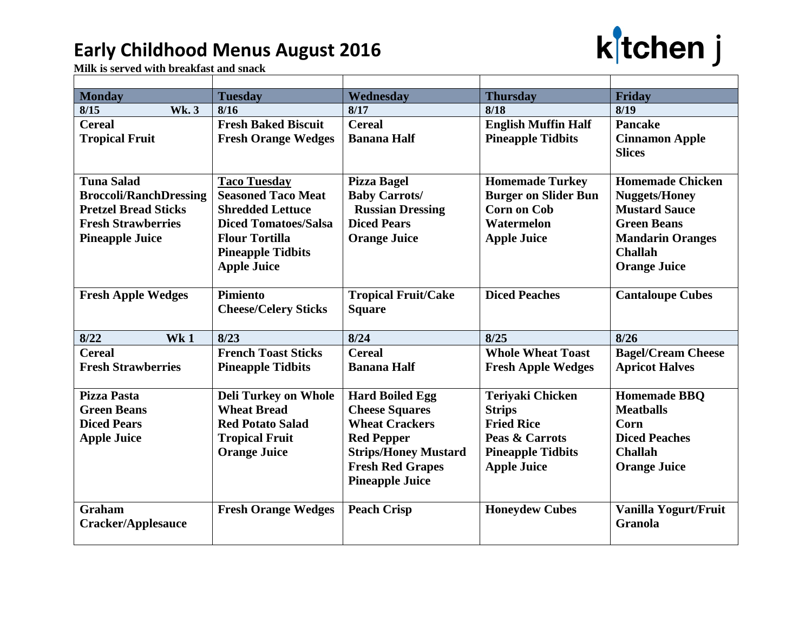## **Early Childhood Menus August 2016**



**Milk is served with breakfast and snack**

| <b>Monday</b>                 | <b>Tuesday</b>              | Wednesday                   | <b>Thursday</b>             | Friday                                 |
|-------------------------------|-----------------------------|-----------------------------|-----------------------------|----------------------------------------|
| <b>Wk.3</b><br>8/15           | 8/16                        | 8/17                        | 8/18                        | 8/19                                   |
| <b>Cereal</b>                 | <b>Fresh Baked Biscuit</b>  | <b>Cereal</b>               | <b>English Muffin Half</b>  | <b>Pancake</b>                         |
| <b>Tropical Fruit</b>         | <b>Fresh Orange Wedges</b>  | <b>Banana Half</b>          | <b>Pineapple Tidbits</b>    | <b>Cinnamon Apple</b><br><b>Slices</b> |
| <b>Tuna Salad</b>             | <b>Taco Tuesday</b>         | <b>Pizza Bagel</b>          | <b>Homemade Turkey</b>      | <b>Homemade Chicken</b>                |
| <b>Broccoli/RanchDressing</b> | <b>Seasoned Taco Meat</b>   | <b>Baby Carrots/</b>        | <b>Burger on Slider Bun</b> | <b>Nuggets/Honey</b>                   |
| <b>Pretzel Bread Sticks</b>   | <b>Shredded Lettuce</b>     | <b>Russian Dressing</b>     | <b>Corn on Cob</b>          | <b>Mustard Sauce</b>                   |
| <b>Fresh Strawberries</b>     | <b>Diced Tomatoes/Salsa</b> | <b>Diced Pears</b>          | Watermelon                  | <b>Green Beans</b>                     |
| <b>Pineapple Juice</b>        | <b>Flour Tortilla</b>       | <b>Orange Juice</b>         | <b>Apple Juice</b>          | <b>Mandarin Oranges</b>                |
|                               | <b>Pineapple Tidbits</b>    |                             |                             | <b>Challah</b>                         |
|                               | <b>Apple Juice</b>          |                             |                             | <b>Orange Juice</b>                    |
| <b>Fresh Apple Wedges</b>     | Pimiento                    | <b>Tropical Fruit/Cake</b>  | <b>Diced Peaches</b>        | <b>Cantaloupe Cubes</b>                |
|                               | <b>Cheese/Celery Sticks</b> | <b>Square</b>               |                             |                                        |
| 8/22<br>Wk1                   | 8/23                        | 8/24                        | 8/25                        | 8/26                                   |
| <b>Cereal</b>                 | <b>French Toast Sticks</b>  | <b>Cereal</b>               | <b>Whole Wheat Toast</b>    | <b>Bagel/Cream Cheese</b>              |
| <b>Fresh Strawberries</b>     | <b>Pineapple Tidbits</b>    | <b>Banana Half</b>          | <b>Fresh Apple Wedges</b>   | <b>Apricot Halves</b>                  |
| <b>Pizza Pasta</b>            | <b>Deli Turkey on Whole</b> | <b>Hard Boiled Egg</b>      | <b>Teriyaki Chicken</b>     | <b>Homemade BBO</b>                    |
| <b>Green Beans</b>            | <b>Wheat Bread</b>          | <b>Cheese Squares</b>       | <b>Strips</b>               | <b>Meathalls</b>                       |
| <b>Diced Pears</b>            | <b>Red Potato Salad</b>     | <b>Wheat Crackers</b>       | <b>Fried Rice</b>           | Corn                                   |
| <b>Apple Juice</b>            | <b>Tropical Fruit</b>       | <b>Red Pepper</b>           | Peas & Carrots              | <b>Diced Peaches</b>                   |
|                               | <b>Orange Juice</b>         | <b>Strips/Honey Mustard</b> | <b>Pineapple Tidbits</b>    | <b>Challah</b>                         |
|                               |                             | <b>Fresh Red Grapes</b>     | <b>Apple Juice</b>          | <b>Orange Juice</b>                    |
|                               |                             | <b>Pineapple Juice</b>      |                             |                                        |
| <b>Graham</b>                 | <b>Fresh Orange Wedges</b>  | <b>Peach Crisp</b>          | <b>Honeydew Cubes</b>       | Vanilla Yogurt/Fruit                   |
| Cracker/Applesauce            |                             |                             |                             | <b>Granola</b>                         |
|                               |                             |                             |                             |                                        |